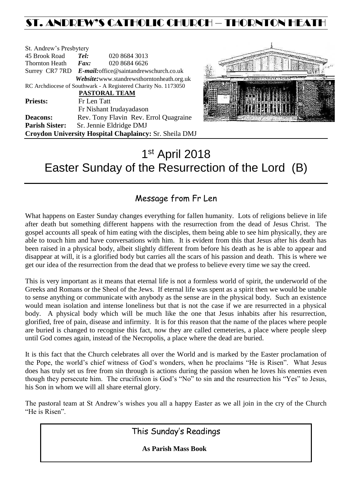## ST. ANDREW'S CATHOLIC CHURCH – THORNTON HEAT

| St. Andrew's Presbytery                                        |                     |                                                        |  |
|----------------------------------------------------------------|---------------------|--------------------------------------------------------|--|
| 45 Brook Road                                                  | Tel:                | 020 8684 3013                                          |  |
| Thornton Heath                                                 | $\boldsymbol{Fax:}$ | 020 8684 6626                                          |  |
|                                                                |                     | Surrey CR7 7RD E-mail: office@saintandrewschurch.co.uk |  |
|                                                                |                     | Website: www.standrewsthorntonheath.org.uk             |  |
| RC Archdiocese of Southwark - A Registered Charity No. 1173050 |                     |                                                        |  |
| <b>PASTORAL TEAM</b>                                           |                     |                                                        |  |
| <b>Priests:</b>                                                | Fr Len Tatt         |                                                        |  |
|                                                                |                     | Fr Nishant Irudayadason                                |  |
| <b>Deacons:</b>                                                |                     | Rev. Tony Flavin Rev. Errol Quagraine                  |  |
| <b>Parish Sister:</b>                                          |                     | Sr. Jennie Eldridge DMJ                                |  |
| Croydon University Hospital Chaplaincy: Sr. Sheila DMJ         |                     |                                                        |  |



# 1 st April 2018 Easter Sunday of the Resurrection of the Lord (B)

### Message from Fr Len

What happens on Easter Sunday changes everything for fallen humanity. Lots of religions believe in life after death but something different happens with the resurrection from the dead of Jesus Christ. The gospel accounts all speak of him eating with the disciples, them being able to see him physically, they are able to touch him and have conversations with him. It is evident from this that Jesus after his death has been raised in a physical body, albeit slightly different from before his death as he is able to appear and disappear at will, it is a glorified body but carries all the scars of his passion and death. This is where we get our idea of the resurrection from the dead that we profess to believe every time we say the creed.

This is very important as it means that eternal life is not a formless world of spirit, the underworld of the Greeks and Romans or the Sheol of the Jews. If eternal life was spent as a spirit then we would be unable to sense anything or communicate with anybody as the sense are in the physical body. Such an existence would mean isolation and intense loneliness but that is not the case if we are resurrected in a physical body. A physical body which will be much like the one that Jesus inhabits after his resurrection, glorified, free of pain, disease and infirmity. It is for this reason that the name of the places where people are buried is changed to recognise this fact, now they are called cemeteries, a place where people sleep until God comes again, instead of the Necropolis, a place where the dead are buried.

It is this fact that the Church celebrates all over the World and is marked by the Easter proclamation of the Pope, the world's chief witness of God's wonders, when he proclaims "He is Risen". What Jesus does has truly set us free from sin through is actions during the passion when he loves his enemies even though they persecute him. The crucifixion is God's "No" to sin and the resurrection his "Yes" to Jesus, his Son in whom we will all share eternal glory.

The pastoral team at St Andrew's wishes you all a happy Easter as we all join in the cry of the Church "He is Risen".

This Sunday's Readings

 **As Parish Mass Book**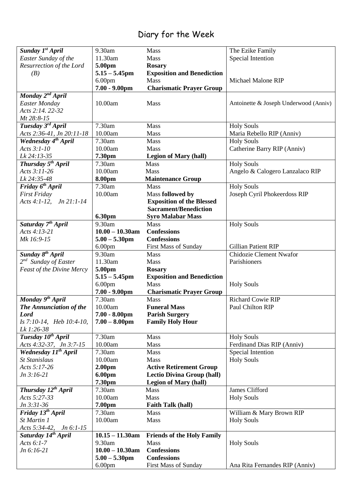## Diary for the Week

| Sunday 1st April                               | 9.30am             | Mass                                                             | The Ezike Family                      |
|------------------------------------------------|--------------------|------------------------------------------------------------------|---------------------------------------|
| Easter Sunday of the                           | 11.30am            | Mass                                                             | Special Intention                     |
| Resurrection of the Lord                       | 5.00pm             | <b>Rosary</b>                                                    |                                       |
| (B)                                            | $5.15 - 5.45$ pm   | <b>Exposition and Benediction</b>                                |                                       |
|                                                | 6.00 <sub>pm</sub> | <b>Mass</b>                                                      | Michael Malone RIP                    |
|                                                | $7.00 - 9.00$ pm   | <b>Charismatic Prayer Group</b>                                  |                                       |
| Monday 2 <sup>nd</sup> April                   |                    |                                                                  |                                       |
| <b>Easter Monday</b>                           | 10.00am            | Mass                                                             | Antoinette & Joseph Underwood (Anniv) |
| Acts 2:14. 22-32                               |                    |                                                                  |                                       |
| Mt 28:8-15                                     |                    |                                                                  |                                       |
| Tuesday 3rd April                              | 7.30am             | Mass                                                             | <b>Holy Souls</b>                     |
| Acts 2:36-41, Jn 20:11-18                      | 10.00am            | Mass                                                             | Maria Rebello RIP (Anniv)             |
| Wednesday 4 <sup>th</sup> April                | 7.30am             | Mass                                                             | <b>Holy Souls</b>                     |
| Acts 3:1-10                                    | 10.00am            | Mass                                                             | Catherine Barry RIP (Anniv)           |
| Lk 24:13-35                                    | 7.30pm             | <b>Legion of Mary (hall)</b>                                     |                                       |
| Thursday 5 <sup>th</sup> April                 | 7.30am             | Mass                                                             | <b>Holy Souls</b>                     |
| Acts 3:11-26                                   | 10.00am            | Mass                                                             | Angelo & Calogero Lanzalaco RIP       |
| Lk 24:35-48                                    | 8.00pm             |                                                                  |                                       |
|                                                | 7.30am             | <b>Maintenance Group</b><br>Mass                                 | <b>Holy Souls</b>                     |
| Friday 6 <sup>th</sup> April                   |                    |                                                                  |                                       |
| <b>First Friday</b><br>Acts 4:1-12, Jn 21:1-14 | 10.00am            | Mass followed by                                                 | Joseph Cyril Phokeerdoss RIP          |
|                                                |                    | <b>Exposition of the Blessed</b><br><b>Sacrament/Benediction</b> |                                       |
|                                                |                    |                                                                  |                                       |
|                                                | 6.30pm             | <b>Syro Malabar Mass</b>                                         |                                       |
| Saturday 7 <sup>th</sup> April                 | 9.30am             | Mass                                                             | <b>Holy Souls</b>                     |
| Acts 4:13-21                                   | $10.00 - 10.30$ am | <b>Confessions</b>                                               |                                       |
| Mk 16:9-15                                     | $5.00 - 5.30$ pm   | <b>Confessions</b>                                               |                                       |
|                                                | 6.00 <sub>pm</sub> | <b>First Mass of Sunday</b>                                      | <b>Gillian Patient RIP</b>            |
| Sunday 8 <sup>th</sup> April                   | 9.30am             | Mass                                                             | Chidozie Clement Nwafor               |
| 2 <sup>nd</sup> Sunday of Easter               | 11.30am            | Mass                                                             | Parishioners                          |
| Feast of the Divine Mercy                      | 5.00pm             | <b>Rosary</b>                                                    |                                       |
|                                                | $5.15 - 5.45$ pm   | <b>Exposition and Benediction</b>                                |                                       |
|                                                | 6.00 <sub>pm</sub> | Mass                                                             | <b>Holy Souls</b>                     |
|                                                | $7.00 - 9.00$ pm   | <b>Charismatic Prayer Group</b>                                  |                                       |
| Monday 9 <sup>th</sup> April                   | 7.30am             | Mass                                                             | <b>Richard Cowie RIP</b>              |
| The Annunciation of the                        | 10.00am            | <b>Funeral Mass</b>                                              | Paul Chilton RIP                      |
| <b>Lord</b>                                    | $7.00 - 8.00$ pm   | <b>Parish Surgery</b>                                            |                                       |
| Is 7:10-14, Heb 10:4-10,                       | $7.00 - 8.00$ pm   | <b>Family Holy Hour</b>                                          |                                       |
| Lk 1:26-38                                     |                    |                                                                  |                                       |
| Tuesday 10 <sup>th</sup> April                 | 7.30am             | Mass                                                             | <b>Holy Souls</b>                     |
| Acts 4:32-37, Jn 3:7-15                        | 10.00am            | <b>Mass</b>                                                      | Ferdinand Dias RIP (Anniv)            |
| Wednesday $1\overline{I^{th}$ April            | 7.30am             | <b>Mass</b>                                                      | Special Intention                     |
| <b>St Stanislaus</b>                           | 10.00am            | Mass                                                             | <b>Holy Souls</b>                     |
| Acts 5:17-26                                   | 2.00 <sub>pm</sub> | <b>Active Retirement Group</b>                                   |                                       |
| $Jn 3:16-21$                                   | 6.00pm             | <b>Lectio Divina Group (hall)</b>                                |                                       |
|                                                | 7.30pm             | <b>Legion of Mary (hall)</b>                                     |                                       |
| Thursday 12 <sup>th</sup> April                | 7.30am             | Mass                                                             | James Clifford                        |
| Acts 5:27-33                                   | 10.00am            | Mass                                                             | <b>Holy Souls</b>                     |
| $Jn 3:31-36$                                   | 7.00pm             | <b>Faith Talk (hall)</b>                                         |                                       |
| Friday 13 <sup>th</sup> April                  | 7.30am             | Mass                                                             | William & Mary Brown RIP              |
| St Martin 1                                    | 10.00am            | Mass                                                             | <b>Holy Souls</b>                     |
| Acts 5:34-42,<br><i>Jn</i> 6:1-15              |                    |                                                                  |                                       |
| Saturday 14 <sup>th</sup> April                | $10.15 - 11.30$ am | <b>Friends of the Holy Family</b>                                |                                       |
| Acts $6:1-7$                                   | 9.30am             | Mass                                                             | <b>Holy Souls</b>                     |
| Jn 6:16-21                                     | $10.00 - 10.30$ am | <b>Confessions</b>                                               |                                       |
|                                                | $5.00 - 5.30$ pm   | <b>Confessions</b>                                               |                                       |
|                                                | 6.00 <sub>pm</sub> | First Mass of Sunday                                             | Ana Rita Fernandes RIP (Anniv)        |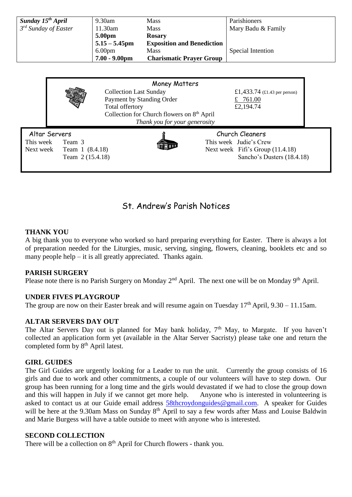| Sunday $15^{th}$ April    | $9.30$ am          | Mass                              | Parishioners       |
|---------------------------|--------------------|-----------------------------------|--------------------|
| $3^{rd}$ Sunday of Easter | 11.30am            | Mass                              | Mary Badu & Family |
|                           | 5.00pm             | <b>Rosary</b>                     |                    |
|                           | $5.15 - 5.45$ pm   | <b>Exposition and Benediction</b> |                    |
|                           | 6.00 <sub>pm</sub> | Mass                              | Special Intention  |
|                           | $7.00 - 9.00$ pm   | <b>Charismatic Prayer Group</b>   |                    |

|                                         |                                               | Money Matters                                                                                                                                                            |                                                                                                             |  |
|-----------------------------------------|-----------------------------------------------|--------------------------------------------------------------------------------------------------------------------------------------------------------------------------|-------------------------------------------------------------------------------------------------------------|--|
|                                         |                                               | <b>Collection Last Sunday</b><br>Payment by Standing Order<br>Total offertory<br>Collection for Church flowers on 8 <sup>th</sup> April<br>Thank you for your generosity | £1,433.74 $(\text{\textsterling}1.43 \text{ per person})$<br>£ 761.00<br>£2,194.74                          |  |
| Altar Servers<br>This week<br>Next week | Team 3<br>Team 1 (8.4.18)<br>Team 2 (15.4.18) |                                                                                                                                                                          | Church Cleaners<br>This week Judie's Crew<br>Next week Fifi's Group (11.4.18)<br>Sancho's Dusters (18.4.18) |  |

### St. Andrew's Parish Notices

#### **THANK YOU**

A big thank you to everyone who worked so hard preparing everything for Easter. There is always a lot of preparation needed for the Liturgies, music, serving, singing, flowers, cleaning, booklets etc and so many people help – it is all greatly appreciated. Thanks again.

#### **PARISH SURGERY**

Please note there is no Parish Surgery on Monday 2<sup>nd</sup> April. The next one will be on Monday 9<sup>th</sup> April.

#### **UNDER FIVES PLAYGROUP**

The group are now on their Easter break and will resume again on Tuesday  $17<sup>th</sup>$  April,  $9.30 - 11.15$ am.

#### **ALTAR SERVERS DAY OUT**

The Altar Servers Day out is planned for May bank holiday,  $7<sup>th</sup>$  May, to Margate. If you haven't collected an application form yet (available in the Altar Server Sacristy) please take one and return the completed form by 8<sup>th</sup> April latest.

#### **GIRL GUIDES**

The Girl Guides are urgently looking for a Leader to run the unit. Currently the group consists of 16 girls and due to work and other commitments, a couple of our volunteers will have to step down. Our group has been running for a long time and the girls would devastated if we had to close the group down and this will happen in July if we cannot get more help. Anyone who is interested in volunteering is asked to contact us at our Guide email address **[58thcroydonguides@gmail.com.](mailto:58thcroydonguides@gmail.com)** A speaker for Guides will be here at the 9.30am Mass on Sunday 8<sup>th</sup> April to say a few words after Mass and Louise Baldwin and Marie Burgess will have a table outside to meet with anyone who is interested.

#### **SECOND COLLECTION**

There will be a collection on  $8<sup>th</sup>$  April for Church flowers - thank you.